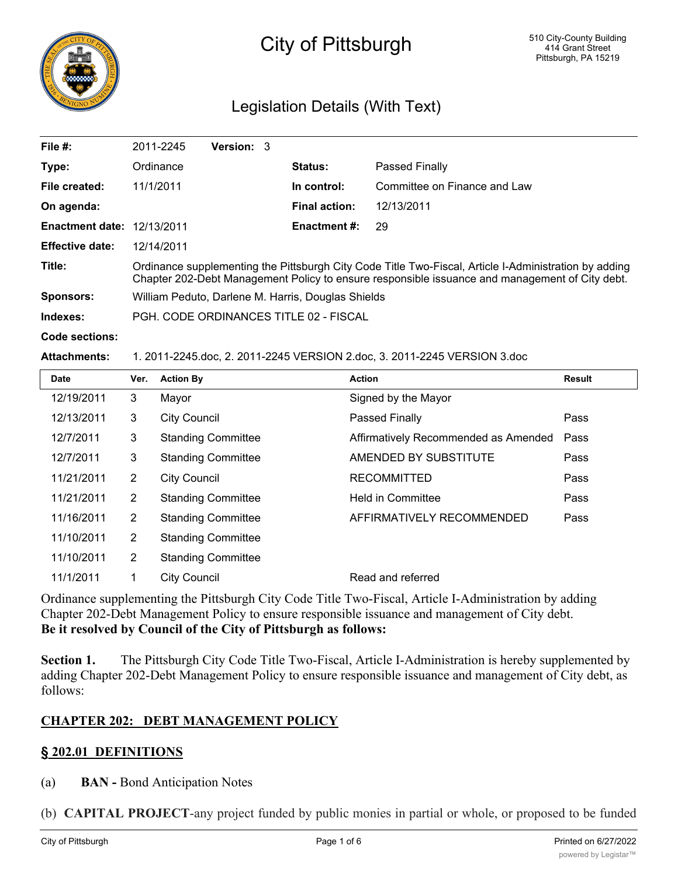

# City of Pittsburgh

# Legislation Details (With Text)

| File $#$ :             | 2011-2245                                                                                                                                                                                               | <b>Version: 3</b> |  |                      |                              |  |  |
|------------------------|---------------------------------------------------------------------------------------------------------------------------------------------------------------------------------------------------------|-------------------|--|----------------------|------------------------------|--|--|
| Type:                  | Ordinance                                                                                                                                                                                               |                   |  | <b>Status:</b>       | <b>Passed Finally</b>        |  |  |
| File created:          | 11/1/2011                                                                                                                                                                                               |                   |  | In control:          | Committee on Finance and Law |  |  |
| On agenda:             |                                                                                                                                                                                                         |                   |  | <b>Final action:</b> | 12/13/2011                   |  |  |
| <b>Enactment date:</b> | 12/13/2011                                                                                                                                                                                              |                   |  | Enactment #:         | 29                           |  |  |
| <b>Effective date:</b> | 12/14/2011                                                                                                                                                                                              |                   |  |                      |                              |  |  |
| Title:                 | Ordinance supplementing the Pittsburgh City Code Title Two-Fiscal, Article I-Administration by adding<br>Chapter 202-Debt Management Policy to ensure responsible issuance and management of City debt. |                   |  |                      |                              |  |  |
| <b>Sponsors:</b>       | William Peduto, Darlene M. Harris, Douglas Shields                                                                                                                                                      |                   |  |                      |                              |  |  |
| Indexes:               | PGH, CODE ORDINANCES TITLE 02 - FISCAL                                                                                                                                                                  |                   |  |                      |                              |  |  |

**Code sections:**

#### **Attachments:** 1. 2011-2245.doc, 2. 2011-2245 VERSION 2.doc, 3. 2011-2245 VERSION 3.doc

| <b>Date</b> | Ver.           | <b>Action By</b>          | <b>Action</b>                        | Result |
|-------------|----------------|---------------------------|--------------------------------------|--------|
| 12/19/2011  | 3              | Mayor                     | Signed by the Mayor                  |        |
| 12/13/2011  | 3              | <b>City Council</b>       | <b>Passed Finally</b>                | Pass   |
| 12/7/2011   | 3              | <b>Standing Committee</b> | Affirmatively Recommended as Amended | Pass   |
| 12/7/2011   | 3              | <b>Standing Committee</b> | AMENDED BY SUBSTITUTE                | Pass   |
| 11/21/2011  | $\overline{2}$ | <b>City Council</b>       | <b>RECOMMITTED</b>                   | Pass   |
| 11/21/2011  | $\overline{2}$ | <b>Standing Committee</b> | <b>Held in Committee</b>             | Pass   |
| 11/16/2011  | $\overline{2}$ | <b>Standing Committee</b> | AFFIRMATIVELY RECOMMENDED            | Pass   |
| 11/10/2011  | $\overline{2}$ | <b>Standing Committee</b> |                                      |        |
| 11/10/2011  | 2              | <b>Standing Committee</b> |                                      |        |
| 11/1/2011   | 1              | <b>City Council</b>       | Read and referred                    |        |

Ordinance supplementing the Pittsburgh City Code Title Two-Fiscal, Article I-Administration by adding Chapter 202-Debt Management Policy to ensure responsible issuance and management of City debt. **Be it resolved by Council of the City of Pittsburgh as follows:**

**Section 1.** The Pittsburgh City Code Title Two-Fiscal, Article I-Administration is hereby supplemented by adding Chapter 202-Debt Management Policy to ensure responsible issuance and management of City debt, as follows:

#### **CHAPTER 202: DEBT MANAGEMENT POLICY**

## **§ 202.01 DEFINITIONS**

- (a) **BAN -** Bond Anticipation Notes
- (b) **CAPITAL PROJECT**-any project funded by public monies in partial or whole, or proposed to be funded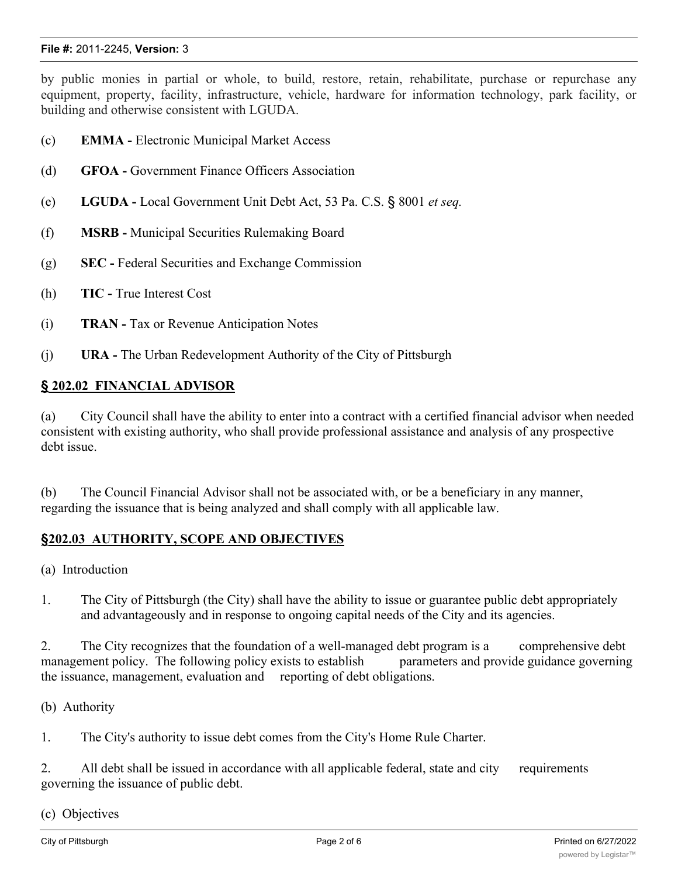#### **File #:** 2011-2245, **Version:** 3

by public monies in partial or whole, to build, restore, retain, rehabilitate, purchase or repurchase any equipment, property, facility, infrastructure, vehicle, hardware for information technology, park facility, or building and otherwise consistent with LGUDA.

- (c) **EMMA -** Electronic Municipal Market Access
- (d) **GFOA -** Government Finance Officers Association
- (e) **LGUDA -** Local Government Unit Debt Act, 53 Pa. C.S. § 8001 *et seq.*
- (f) **MSRB -** Municipal Securities Rulemaking Board
- (g) **SEC -** Federal Securities and Exchange Commission
- (h) **TIC -** True Interest Cost
- (i) **TRAN -** Tax or Revenue Anticipation Notes
- (j) **URA -** The Urban Redevelopment Authority of the City of Pittsburgh

#### **§ 202.02 FINANCIAL ADVISOR**

(a) City Council shall have the ability to enter into a contract with a certified financial advisor when needed consistent with existing authority, who shall provide professional assistance and analysis of any prospective debt issue.

(b) The Council Financial Advisor shall not be associated with, or be a beneficiary in any manner, regarding the issuance that is being analyzed and shall comply with all applicable law.

#### **§202.03 AUTHORITY, SCOPE AND OBJECTIVES**

- (a) Introduction
- 1. The City of Pittsburgh (the City) shall have the ability to issue or guarantee public debt appropriately and advantageously and in response to ongoing capital needs of the City and its agencies.

2. The City recognizes that the foundation of a well-managed debt program is a comprehensive debt management policy. The following policy exists to establish parameters and provide guidance governing the issuance, management, evaluation and reporting of debt obligations.

(b) Authority

1. The City's authority to issue debt comes from the City's Home Rule Charter.

2. All debt shall be issued in accordance with all applicable federal, state and city requirements governing the issuance of public debt.

(c) Objectives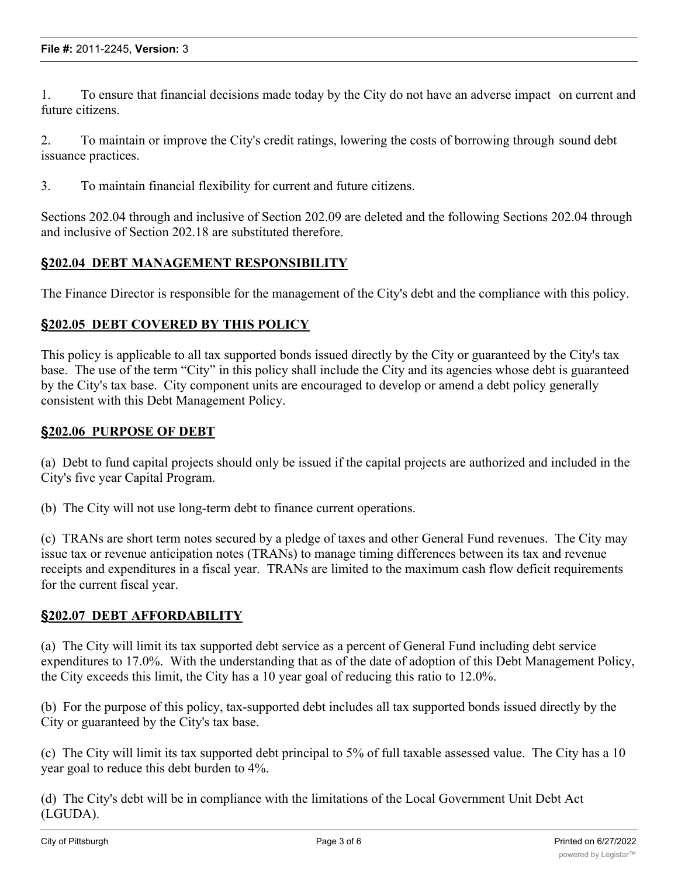1. To ensure that financial decisions made today by the City do not have an adverse impact on current and future citizens.

2. To maintain or improve the City's credit ratings, lowering the costs of borrowing through sound debt issuance practices.

3. To maintain financial flexibility for current and future citizens.

Sections 202.04 through and inclusive of Section 202.09 are deleted and the following Sections 202.04 through and inclusive of Section 202.18 are substituted therefore.

#### **§202.04 DEBT MANAGEMENT RESPONSIBILITY**

The Finance Director is responsible for the management of the City's debt and the compliance with this policy.

#### **§202.05 DEBT COVERED BY THIS POLICY**

This policy is applicable to all tax supported bonds issued directly by the City or guaranteed by the City's tax base. The use of the term "City" in this policy shall include the City and its agencies whose debt is guaranteed by the City's tax base. City component units are encouraged to develop or amend a debt policy generally consistent with this Debt Management Policy.

#### **§202.06 PURPOSE OF DEBT**

(a) Debt to fund capital projects should only be issued if the capital projects are authorized and included in the City's five year Capital Program.

(b) The City will not use long-term debt to finance current operations.

(c) TRANs are short term notes secured by a pledge of taxes and other General Fund revenues. The City may issue tax or revenue anticipation notes (TRANs) to manage timing differences between its tax and revenue receipts and expenditures in a fiscal year. TRANs are limited to the maximum cash flow deficit requirements for the current fiscal year.

#### **§202.07 DEBT AFFORDABILITY**

(a) The City will limit its tax supported debt service as a percent of General Fund including debt service expenditures to 17.0%. With the understanding that as of the date of adoption of this Debt Management Policy, the City exceeds this limit, the City has a 10 year goal of reducing this ratio to 12.0%.

(b) For the purpose of this policy, tax-supported debt includes all tax supported bonds issued directly by the City or guaranteed by the City's tax base.

(c) The City will limit its tax supported debt principal to 5% of full taxable assessed value. The City has a 10 year goal to reduce this debt burden to 4%.

(d) The City's debt will be in compliance with the limitations of the Local Government Unit Debt Act (LGUDA).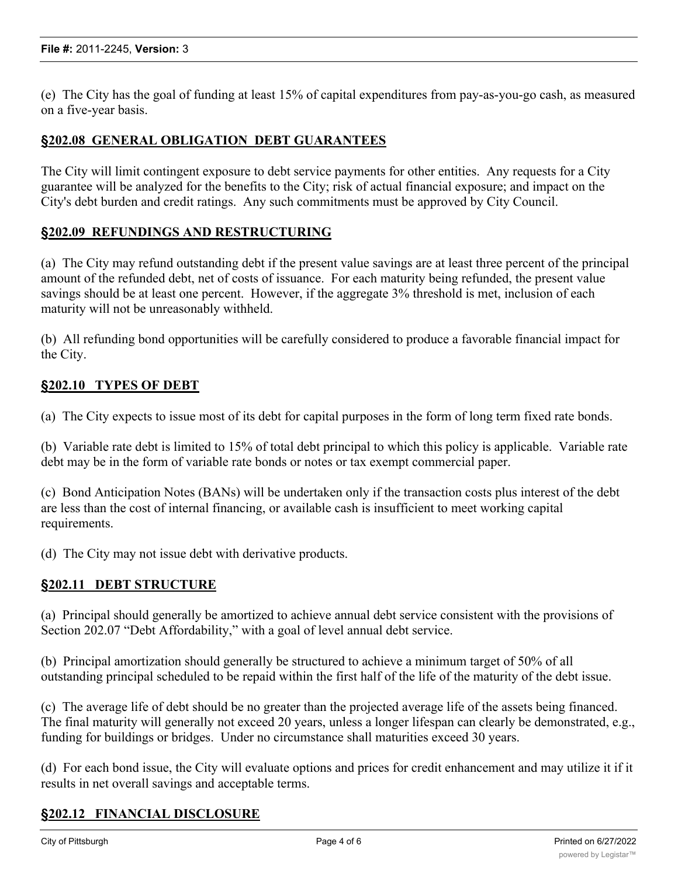(e) The City has the goal of funding at least 15% of capital expenditures from pay-as-you-go cash, as measured on a five-year basis.

#### **§202.08 GENERAL OBLIGATION DEBT GUARANTEES**

The City will limit contingent exposure to debt service payments for other entities. Any requests for a City guarantee will be analyzed for the benefits to the City; risk of actual financial exposure; and impact on the City's debt burden and credit ratings. Any such commitments must be approved by City Council.

#### **§202.09 REFUNDINGS AND RESTRUCTURING**

(a) The City may refund outstanding debt if the present value savings are at least three percent of the principal amount of the refunded debt, net of costs of issuance. For each maturity being refunded, the present value savings should be at least one percent. However, if the aggregate 3% threshold is met, inclusion of each maturity will not be unreasonably withheld.

(b) All refunding bond opportunities will be carefully considered to produce a favorable financial impact for the City.

#### **§202.10 TYPES OF DEBT**

(a) The City expects to issue most of its debt for capital purposes in the form of long term fixed rate bonds.

(b) Variable rate debt is limited to 15% of total debt principal to which this policy is applicable. Variable rate debt may be in the form of variable rate bonds or notes or tax exempt commercial paper.

(c) Bond Anticipation Notes (BANs) will be undertaken only if the transaction costs plus interest of the debt are less than the cost of internal financing, or available cash is insufficient to meet working capital requirements.

(d) The City may not issue debt with derivative products.

#### **§202.11 DEBT STRUCTURE**

(a) Principal should generally be amortized to achieve annual debt service consistent with the provisions of Section 202.07 "Debt Affordability," with a goal of level annual debt service.

(b) Principal amortization should generally be structured to achieve a minimum target of 50% of all outstanding principal scheduled to be repaid within the first half of the life of the maturity of the debt issue.

(c) The average life of debt should be no greater than the projected average life of the assets being financed. The final maturity will generally not exceed 20 years, unless a longer lifespan can clearly be demonstrated, e.g., funding for buildings or bridges. Under no circumstance shall maturities exceed 30 years.

(d) For each bond issue, the City will evaluate options and prices for credit enhancement and may utilize it if it results in net overall savings and acceptable terms.

## **§202.12 FINANCIAL DISCLOSURE**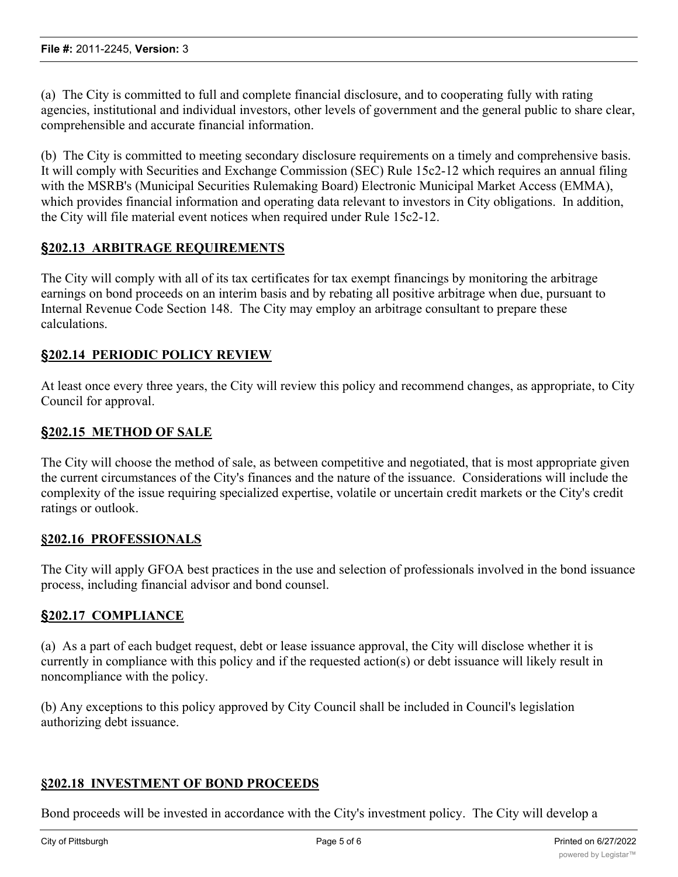(a) The City is committed to full and complete financial disclosure, and to cooperating fully with rating agencies, institutional and individual investors, other levels of government and the general public to share clear, comprehensible and accurate financial information.

(b) The City is committed to meeting secondary disclosure requirements on a timely and comprehensive basis. It will comply with Securities and Exchange Commission (SEC) Rule 15c2-12 which requires an annual filing with the MSRB's (Municipal Securities Rulemaking Board) Electronic Municipal Market Access (EMMA), which provides financial information and operating data relevant to investors in City obligations. In addition, the City will file material event notices when required under Rule 15c2-12.

## **§202.13 ARBITRAGE REQUIREMENTS**

The City will comply with all of its tax certificates for tax exempt financings by monitoring the arbitrage earnings on bond proceeds on an interim basis and by rebating all positive arbitrage when due, pursuant to Internal Revenue Code Section 148. The City may employ an arbitrage consultant to prepare these calculations.

#### **§202.14 PERIODIC POLICY REVIEW**

At least once every three years, the City will review this policy and recommend changes, as appropriate, to City Council for approval.

#### **§202.15 METHOD OF SALE**

The City will choose the method of sale, as between competitive and negotiated, that is most appropriate given the current circumstances of the City's finances and the nature of the issuance. Considerations will include the complexity of the issue requiring specialized expertise, volatile or uncertain credit markets or the City's credit ratings or outlook.

#### **§202.16 PROFESSIONALS**

The City will apply GFOA best practices in the use and selection of professionals involved in the bond issuance process, including financial advisor and bond counsel.

#### **§202.17 COMPLIANCE**

(a) As a part of each budget request, debt or lease issuance approval, the City will disclose whether it is currently in compliance with this policy and if the requested action(s) or debt issuance will likely result in noncompliance with the policy.

(b) Any exceptions to this policy approved by City Council shall be included in Council's legislation authorizing debt issuance.

#### **§202.18 INVESTMENT OF BOND PROCEEDS**

Bond proceeds will be invested in accordance with the City's investment policy. The City will develop a